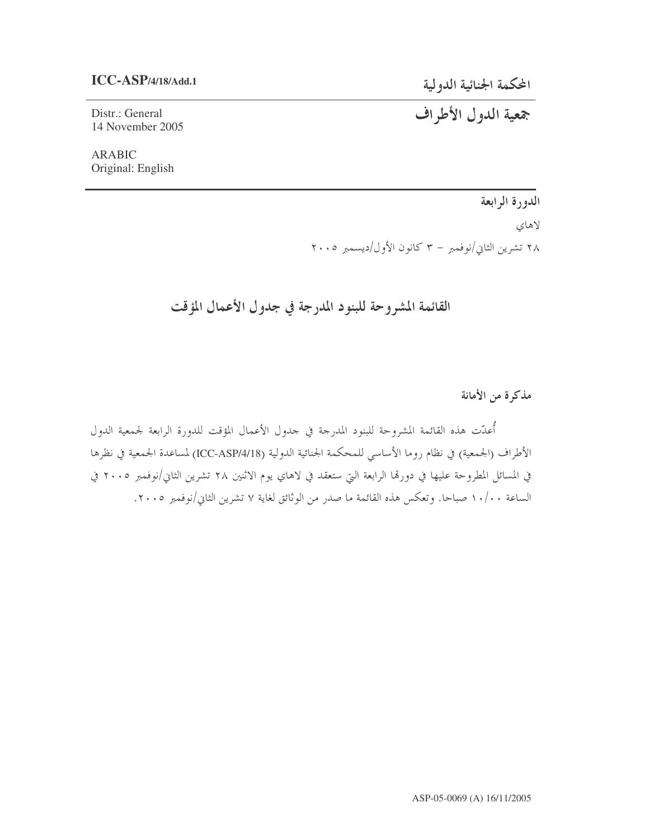### **ICC-ASP/4/18/Add.1**

المحكمة الجنائية الدولية

جمعية الدول الأطراف

Distr.: General 14 November 2005

ARABIC Original: English

الدورة الرابعة

لاهاي

۲۸ تشرین الثاني/نوفمبر – ۳ کانون الأول/دیسمبر ۲۰۰۵

القائمة المشروحة للبنود المدرجة في جدول الأعمال المؤقت

مذكرة من الأمانة

أعدّت هذه القائمة المشروحة للبنود المدرحة في جدول الأعمال المؤقت للدورة الرابعة لجمعية الدول الأطراف (الجمعية) في نظام روما الأساسي للمحكمة الجنائية الدولية (ICC-ASP/4/18) لمساعدة الجمعية في نظرها في المسائل المطروحة عليها في دورتما الرابعة التي ستعقد في لاهاي يوم الاثنين ٢٨ تشرين الثاني/نوفمبر ٢٠٠٥ في لساعة ١٠/٠٠ صباحا. وتعكس هذه القائمة ما صدر من الوثائق لغاية ٧ تشرين الثاني/نوفمبر ٢٠٠٥.  $\vert$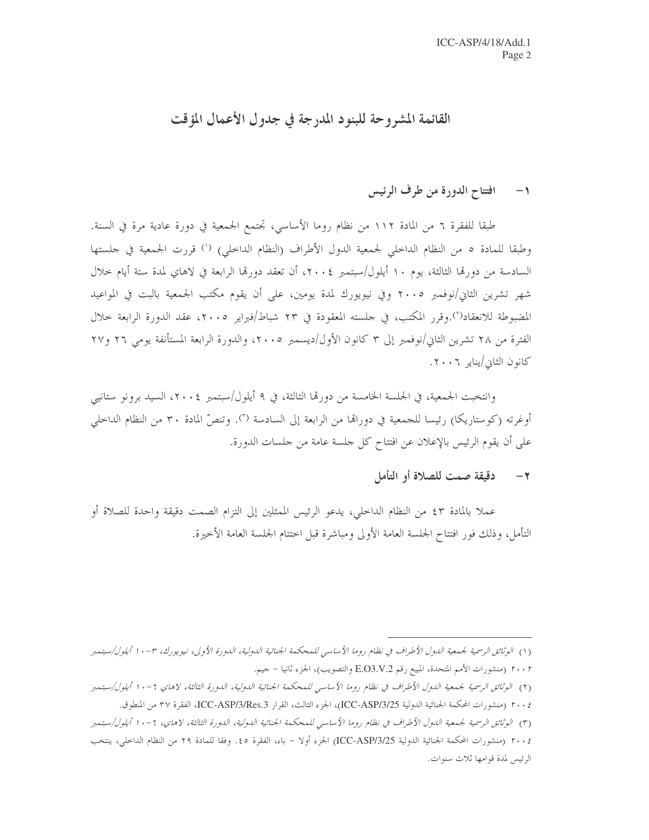# القائمة المشروحة للبنود المدرجة في جدول الأعمال المؤقت

#### افتتاح الدورة من طرف الرئيس  $-1$

طبقا للفقرة ٦ من المادة ١١٢ من نظام روما الأساسي، تجتمع الجمعية في دورة عادية مرة في السنة. وطبقا للمادة ٥ من النظام الداخلي لجمعية الدول الأطراف (النظام الداخلي) (') قررت الجمعية في حلستها السادسة من دورها الثالثة، يوم ١٠ أيلول/سبتمبر ٢٠٠٤، أن تعقد دورها الرابعة في لاهاي لمدة ستة أيام حلال شهر تشرين الثاني/نوفمبر ٢٠٠٥ وفي نيويورك لمدة يومين، على أن يقوم مكتب الجمعية بالبت في المواعيد المضبوطة للانعقاد(``).وقرر المكتب، في جلسته المعقودة في ٢٣ شباط/فبراير ٢٠٠٥، عقد الدورة الرابعة حلال الفترة من ٢٨ تشرين الثاني/نوفمبر إلى ٣ كانون الأول/ديسمبر ٢٠٠٥، والدورة الرابعة المستأنفة يومي ٢٦ و٢٧ كانون الثاني/يناير ٢٠٠٦.

وانتخبت الجمعية، في الجلسة الخامسة من دورتما الثالثة، في ٩ أيلول/سبتمبر ٢٠٠٤، السيد برونو ستانيي أوغرته (كوستاريكا) رئيسا للجمعية في دورالها من الرابعة إلى السادسة ("). وتنصُّ المادة ٣٠ من النظام الداخلي على أن يقوم الرئيس بالإعلان عن افتتاح كل حلسة عامة من حلسات الدورة.

#### دقيقة صمت للصلاة أو التأمل  $-7$

عملاً بالمادة ٤٣ من النظام الداخلي، يدعو الرئيس الممثلين إلى التزام الصمت دقيقة واحدة للصلاة أو التأمل، وذلك فور افتتاح الجلسة العامة الأولى ومباشرة قبل اختتام الجلسة العامة الأخيرة.

<sup>(</sup>١) الوثائق الرسمية لجمعية الدول الأطراف في نظام روما الأساسي للمحكمة الجنائية الدولية، الدورة الأولى، نيويورك، ٣-١٠ ا أيلول/سبتمبر ٢٠٠٢ (منشورات الأمم المتحدة، المبيع رقم E.O3.V.2 والتصويب)، الجزء ثانيا – جيم.

<sup>(</sup>٢) الوثائق الرسمية لجمعية الدول الأطراف في نظام روما الأساسي للمحكمة الجنائية الدولية، الدورة الثالثة، لاهاي ٦-١٠ أيلول/سبتمبر

٢٠٠٤ (منشورات المحكمة الجنائية الدولية ICC-ASP/3/25)، الجزء الثالث، القرار ICC-ASP/3/Res.3، الفقرة ٣٧ من المنطوق.

<sup>(</sup>٣) الوثائق الرسمية لجمعية الدول الأطراف في نظام روما الأساسي للمحكمة الجنائية الدولية، الدورة الثالثة، لاهاي، ٦ -١٠ أيلول/سبتمبر

٢٠٠٤ (منشورات المحكمة الجنائية الدولية ICC-ASP/3/25) الجزء أولا – باء، الفقرة ٤٥. وفقا للمادة ٢٩ من النظام الداخلي، ينتخب الرئيس لمدة قوامها ثلاث سنوات.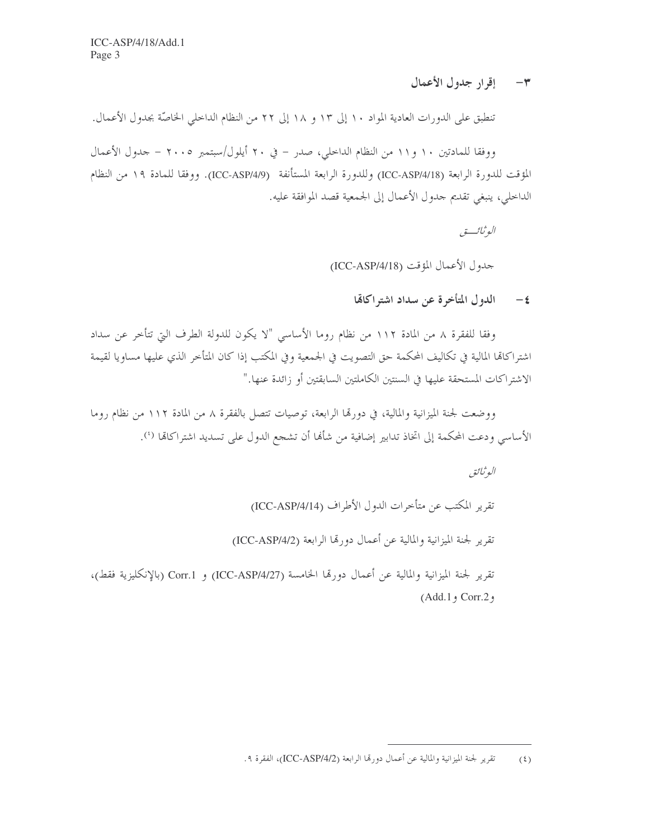٣- إقرار جدول الأعمال

تنطبق على الدورات العادية المواد ١٠ إلى ١٣ و ١٨ إلى ٢٢ من النظام الداخلي الخاصَّة بجدول الأعمال.

ووفقا للمادتين ١٠ و١١ من النظام الداحلي، صدر – في ٢٠ أيلول/سبتمبر ٢٠٠٥ – حدول الأعمال المؤقت للدورة الرابعة (ICC-ASP/4/18) وللدورة الرابعة المستأنفة (ICC-ASP/4/9). ووفقا للمادة ١٩ من النظام الداخلي، ينبغي تقديم جدول الأعمال إلى الجمعية قصد الموافقة عليه.

الوثائب

حدول الأعمال المؤقت (ICC-ASP/4/18)

٤ - الدول المتأخرة عن سداد اشته اكافيا

وفقا للفقرة ٨ من المادة ١١٢ من نظام روما الأساسي "لا يكون للدولة الطرف التي تتأخر عن سداد اشتراكاتما المالية في تكاليف المحكمة حق التصويت في الجمعية وفي المكتب إذا كان المتأخر الذي عليها مساويا لقيمة الاشتراكات المستحقة عليها في السنتين الكاملتين السابقتين أو زائدة عنها."

ووضعت لجنة الميزانية والمالية، في دورها الرابعة، توصيات تتصل بالفقرة ٨ من المادة ١١٢ من نظام روما الأساسي ودعت المحكمة إلى اتخاذ تدابير إضافية من شألها أن تشجع الدول على تسديد اشتراكالها (').

البوثيائق

تقرير المكتب عن متأخرات الدول الأطراف (ICC-ASP/4/14)

تقرير لجنة الميزانية والمالية عن أعمال دورتها الرابعة (ICC-ASP/4/2)

تقرير لجنة الميزانية والمالية عن أعمال دورتما الخامسة (ICC-ASP/4/27) و Corr.1 (بالإنكليزية فقط)، (Add.1, Corr.2,

تقرير لجنة الميزانية والمالية عن أعمال دورتما الرابعة (ICC-ASP/4/2)، الفقرة ٩.  $(5)$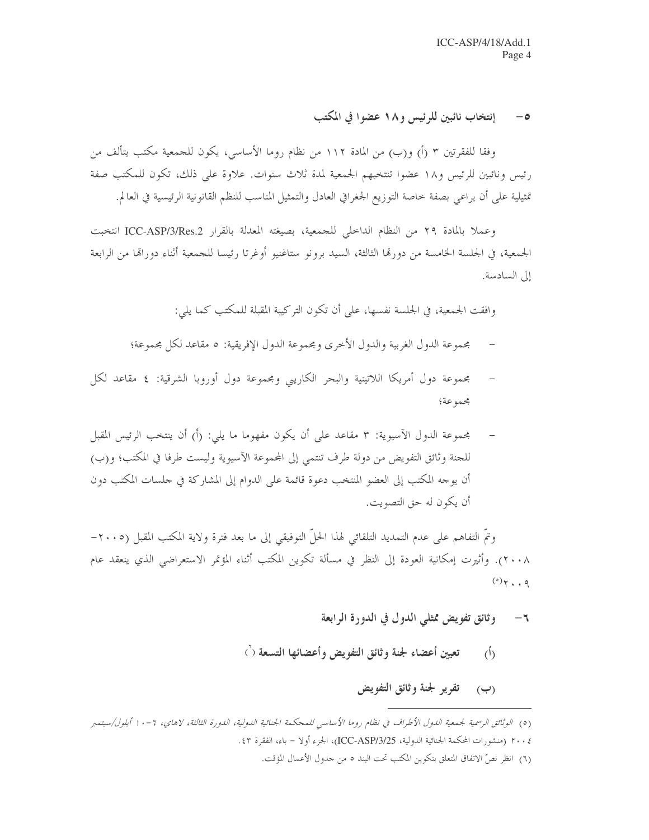#### إنتخاب نائبين للرئيس و١٨ عضوا في المكتب  $-\circ$

وفقا للفقرتين ٣ (أ) و(ب) من المادة ١١٢ من نظام روما الأساسي، يكون للجمعية مكتب يتألف من رئيس ونائبين للرئيس و١٨ عضوا تنتخبهم الجمعية لمدة ثلاث سنوات. علاوة على ذلك، تكون للمكتب صفة تمثيلية على أن يراعي بصفة حاصة التوزيع الجغرافي العادل والتمثيل المناسب للنظم القانونية الرئيسية في العالم.

وعملا بالمادة ٢٩ من النظام الداخلي للجمعية، بصيغته المعدلة بالقرار ICC-ASP/3/Res.2 انتخبت الجمعية، في الجلسة الخامسة من دورها الثالثة، السيد برونو ستاغنيو أوغرتا رئيسا للجمعية أثناء دوراها من الرابعة إلى السادسة.

وافقت الجمعية، في الجلسة نفسها، على أن تكون التركيبة المقبلة للمكتب كما يلي:

- مجموعة الدول الغربية والدول الأخرى ومجموعة الدول الإفريقية: ٥ مقاعد لكل مجموعة؛
- مجموعة دول أمريكا اللاتينية والبحر الكاريبي ومجموعة دول أوروبا الشرقية: ٤ مقاعد لكل مجموعة؛
- مجموعة الدول الآسيوية: ٣ مقاعد على أن يكون مفهوما ما يلي: (أ) أن ينتخب الرئيس المقبل للجنة وثائق التفويض من دولة طرف تنتمي إلى المجموعة الآسيوية وليست طرفا في المكتب؛ و(ب) أن يوجه المكتب إلى العضو المنتخب دعوة قائمة على الدوام إلى المشاركة في جلسات المكتب دون أن يكون له حق التصويت.

وتمَّ التفاهم على عدم التمديد التلقائي لهذا الحلَّ التوفيقي إلى ما بعد فترة ولاية المكتب المقبل (٢٠٠٥-٢٠٠٨). وأثيرت إمكانية العودة إلى النظر في مسألة تكوين المكتب أثناء المؤتمر الاستعراضي الذي ينعقد عام  $(°)$   $\gamma$   $\cdot$   $\cdot$   $\varphi$ 

#### وثائق تفويض ممثلي الدول في الدورة الرابعة  $-1$

تعيين أعضاء لجنة وثائق التفويض وأعضائها التسعة (`)  $\langle \hat{L} \rangle$ 

### (ب) تقرير لجنة وثائق التفويض

<sup>(</sup>٥) الوثائق الرسمية لجمعية الدول الأطراف في نظام روما الأساسي للمحكمة الجنائية الدولية، الدورة الثالثة، لاهاي، ٦ -١٠ أيلول/سبتمبر ٢٠٠٤ (منشورات المحكمة الجنائية الدولية، ICC-ASP/3/25)، الجزء أولا – باء، الفقرة ٤٣.

<sup>(</sup>٦) انظر نصِّ الاتفاق المتعلِّق بتكوين المكتب تحت البند ٥ من جدول الأعمال المؤقت.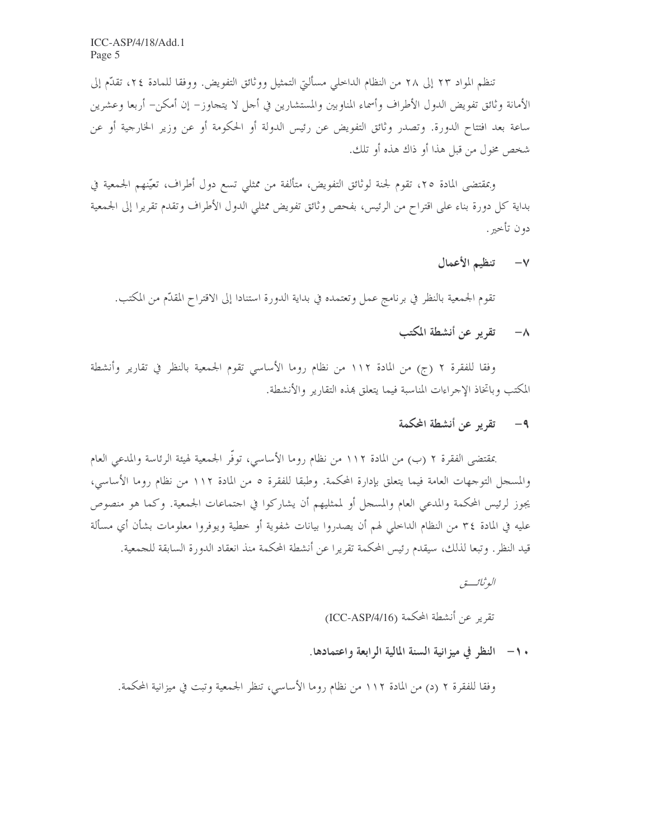تنظم المواد ٢٣ إلى ٢٨ من النظام الداخلي مسألتي التمثيل ووثائق التفويض. ووفقا للمادة ٢٤، تقدَّم إلى الأمانة وثائق تفويض الدول الأطراف وأسماء المناوبين والمستشارين في أحل لا يتجاوز– إن أمكن– أربعا وعشرين ساعة بعد افتتاح الدورة. وتصدر وثائق التفويض عن رئيس الدولة أو الحكومة أو عن وزير الخارجية أو عن شخص مخول من قبل هذا أو ذاك هذه أو تلك.

وبمقتضى المادة ٢٥، تقوم لجنة لوثائق التفويض، متألفة من ممثلي تسع دول أطراف، تعيّنهم الجمعية في بداية كل دورة بناء على اقتراح من الرئيس، بفحص وثائق تفويض ممثلي الدول الأطراف وتقدم تقريرا إلى الجمعية دون تأخير .

V- تنظيم الأعمال

تقوم الجمعية بالنظر في برنامج عمل وتعتمده في بداية الدورة استنادا إلى الاقتراح المقدّم من المكتب.

# ٨- تقرير عن أنشطة المكتب

وفقا للفقرة ٢ (ج) من المادة ١١٢ من نظام روما الأساسي تقوم الجمعية بالنظر في تقارير وأنشطة المكتب وباتخاذ الإحراءات المناسبة فيما يتعلق بمذه التقارير والأنشطة.

## ٩- تقرير عن أنشطة المحكمة

بمقتضى الفقرة ٢ (ب) من المادة ١١٢ من نظام روما الأساسي، توفُّر الجمعية لهيئة الرئاسة والمدعى العام والمسحل التوجهات العامة فيما يتعلق بإدارة المحكمة. وطبقا للفقرة ٥ من المادة ١١٢ من نظام روما الأساسي، يجوز لرئيس المحكمة والمدعى العام والمسجل أو لممثليهم أن يشاركوا في اجتماعات الجمعية. وكما هو منصوص عليه في المادة ٣٤ من النظام الداخلي لهم أن يصدروا بيانات شفوية أو خطية ويوفروا معلومات بشأن أي مسألة قيد النظر . وتبعا لذلك، سيقدم رئيس المحكمة تقريرا عن أنشطة المحكمة منذ انعقاد الدورة السابقة للجمعية.

البو ثبائب تو

تقرير عن أنشطة المحكمة (ICC-ASP/4/16)

### • ١- النظر في ميزانية السنة المالية الرابعة واعتمادها.

وفقًا للفقرة ٢ (د) من المادة ١١٢ من نظام روما الأساسي، تنظر الجمعية وتبت في ميزانية المحكمة.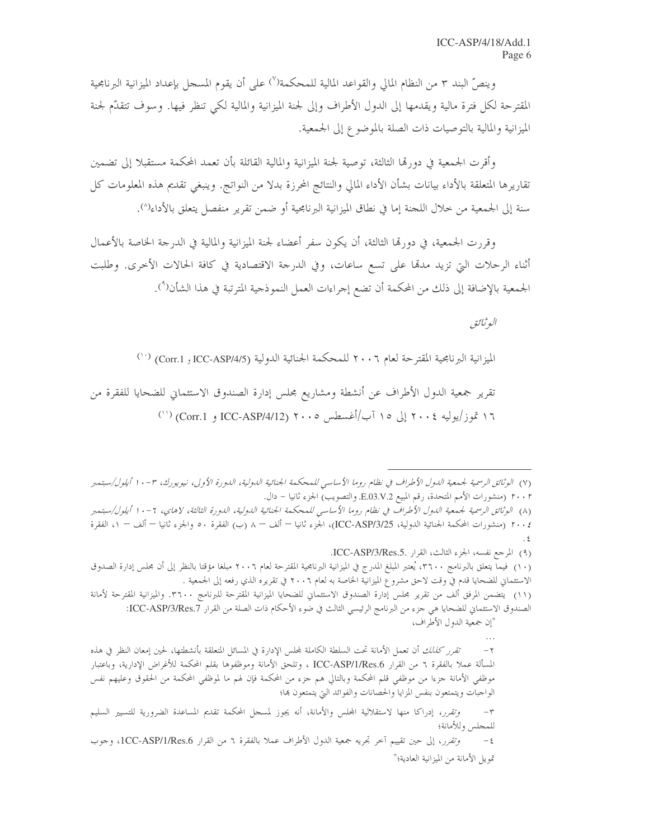وينصُّ البند ٣ من النظام المالي والقواعد المالية للمحكمة(``) على أن يقوم المسجل بإعداد الميزانية البرنامجية المقترحة لكل فترة مالية ويقدمها إلى الدول الأطراف وإلى لجنة الميزانية والمالية لكي تنظر فيها. وسوف تتقدّم لجنة الميزانية والمالية بالتوصيات ذات الصلة بالموضوع إلى الجمعية.

وأقرت الجمعية في دورتما الثالثة، توصية لجنة الميزانية والمالية القائلة بأن تعمد المحكمة مستقبلاً إلى تضمين تقاريرها المتعلقة بالأداء بيانات بشأن الأداء المالي والنتائج المحرزة بدلا من النواتج. وينبغي تقديم هذه المعلومات كل سنة إلى الجمعية من خلال اللجنة إما في نطاق الميزانية البرنامجية أو ضمن تقرير منفصل يتعلق بالأداء۞.

وقررت الجمعية، في دورتما الثالثة، أن يكون سفر أعضاء لجنة الميزانية والمالية في الدرجة الحاصة بالأعمال أثناء الرحلات التي تزيد مدمّا على تسع ساعات، وفي الدرجة الاقتصادية في كافة الحالات الأخرى. وطلبت الجمعية بالإضافة إلى ذلك من المحكمة أن تضع إجراءات العمل النموذجية المترتبة في هذا الشأن(°).

البوثيائق

الميزانية البرنامجية المقترحة لعام ٢٠٠٦ للمحكمة الجنائية الدولية (Corr.1 , ICC-ASP/4/5) (``)

تقرير جمعية الدول الأطراف عن أنشطة ومشاريع مجلس إدارة الصندوق الاستئماني للضحايا للفقرة من ١٦ تموز/يوليه ٢٠٠٤ إلى ١٥ آب/أغسطس ٢٠٠٥ (ICC-ASP/4/12 و Corr.1) (``)

(٩) المرجع نفسه، الجزء الثالث، القرار .ICC-ASP/3/Res.5.

(١٠) فيما يتعلق بالبرنامج ٣٦٠٠، يُعتبر المبلغ المدرج في الميزانية البرنامجية المقترحة لعام ٢٠٠٦ مبلغا مؤقتا بالنظر إلى أن مجلس إدارة الصدوق الاستئماني للضحايا قدم في وقت لاحق مشروع الميزانية الخاصة به لعام ٢٠٠٦ في تقريره الذي رفعه إلى الجمعية .

(١١) يتضمن المرفق ألف من تقرير مجلس إدارة الصندوق الاستئماني للضحايا الميزانية المقترحة للبرنامج ٣٦٠٠. والميزانية المقترحة لأمانة الصندوق الاستئماني للضحايا هي جزء من البرنامج الرئيسي الثالث في ضوء الأحكام ذات الصلة من القرار FCC-ASP/3/Res.7:

<sup>(</sup>٧) الوثائق الرسمية لجمعية الدول الأطراف في نظام روما الأساسي للمحكمة الجنائية الدولية، الدورة الأولى، نيويورك، ٣-١٠ ا أيلول/سبتمبر ٢٠٠٢ (منشورات الأمم المتحدة، رقم المبيع E.03.V.2. والتصويب) الجزء ثانيا – دال.

<sup>(</sup>٨) الوثائق الرسمية لجمعية الدول الأطراف في نظام روما الأساسي للمحكمة الجنائية الدولية، الدورة الثالثة، لاهاي، ٦-١٠ أيلول/سبتمبر ٢٠٠٤ (منشورات المحكمة الجنائية الدولية، ICC-ASP/3/25)، الجزء ثانيا — ألف — ٨ (ب) الفقرة ٥٠ والجزء ثانيا — ألف — ١، الفقرة

<sup>&</sup>quot;إن جمعية الدول الأطراف،

*تقرر كذلك* أن تعمل الأمانة تحت السلطة الكاملة لمحلس الإدارة في المسائل المتعلقة بأنشطتها، لحين إمعان النظر في هذه المسألة عملا بالفقرة ٦ من القرار ICC-ASP/1/Res.6 ، وتلحق الأمانة وموظفوها بقلم المحكمة للأغراض الإدارية، وباعتبار موظفي الأمانة جزءا من موظفي قلم المحكمة وبالتالي هم جزء من المحكمة فإن لهم ما لموظفي المحكمة من الحقوق وعليهم نفس الواجبات ويتمتعون بنفس المزايا والحصانات والفوائد التي يتمتعون ها؛

وتقرر، إدراكا منها لاستقلالية المجلس والأمانة، أنه يجوز لمسجل المحكمة تقديم المساعدة الضرورية للتسيير السليم  $-\tau$ للمحلس وللأمانة؛

وتقرر، إلى حين تقييم آخر تجريه جمعية الدول الأطراف عملا بالفقرة ٦ من القرار ICC-ASP/1/Res.6، وجوب  $-\,\xi$ تمويل الأمانة من الميزانية العادية؛"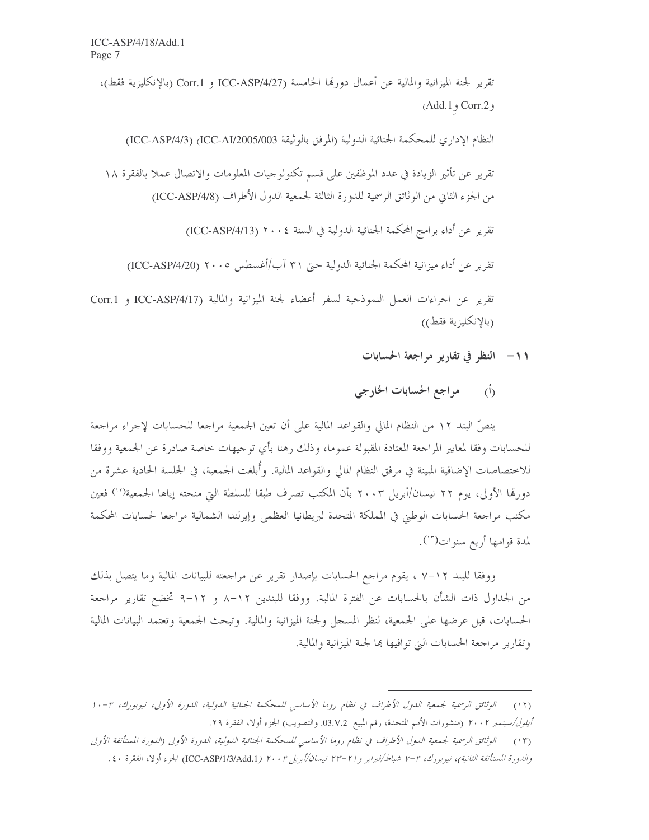تقرير لجنة الميزانية والمالية عن أعمال دورتما الحامسة ICC-ASP/4/27 و Corr.1 (بالإنكليزية فقط)، و Corr.2 و Add.1

النظام الإداري للمحكمة الجنائية الدولية (المرفق بالوثيقة ICC-AI/2005/003) (ICC-ASP/4/3)

تقرير عن تأثير الزيادة في عدد الموظفين على قسم تكنولوجيات المعلومات والاتصال عملا بالفقرة ١٨ من الجزء الثاني من الوثائق الرسمية للدورة الثالثة لجمعية الدول الأطراف (ICC-ASP/4/8)

تقرير عن أداء برامج المحكمة الجنائية الدولية في السنة ٢٠٠٤ (ICC-ASP/4/13)

تقرير عن أداء ميزانية المحكمة الجنائية الدولية حتى ٣١ آب/أغسطس ٢٠٠٥ (ICC-ASP/4/20)

تقرير عن اجراءات العمل النموذجية لسفر أعضاء لجنة الميزانية والمالية (ICC-ASP/4/17 و Corr.1 (بالإنكليزية فقط))

١١- النظر في تقارير مراجعة الحسابات

مراجع الحسابات الخارجي  $\langle \dot{h} \rangle$ 

ينصُّ البند ١٢ من النظام المالي والقواعد المالية على أن تعين الجمعية مراجعا للحسابات لإجراء مراجعة للحسابات وفقا لمعايير المراجعة المعتادة المقبولة عموما، وذلك رهنا بأي توجيهات خاصة صادرة عن الجمعية ووفقا للاختصاصات الإضافية المبينة في مرفق النظام المالي والقواعد المالية. وأُبلغت الجمعية، في الجلسة الحادية عشرة من دورقما الأولى، يوم ٢٢ نيسان/أبريل ٢٠٠٣ بأن المكتب تصرف طبقا للسلطة التي منحته إياها الجمعية('') فعين مكتب مراجعة الحسابات الوطني في المملكة المتحدة لبريطانيا العظمى وإيرلندا الشمالية مراجعا لحسابات المحكمة لمدة قوامها أربع سنوات( ّ').

ووفقا للبند ١٢–٧ ، يقوم مراجع الحسابات بإصدار تقرير عن مراجعته للبيانات المالية وما يتصل بذلك من الجداول ذات الشأن بالحسابات عن الفترة المالية. ووفقا للبندين ١٢–٨ و ١٢–٩ تخضع تقارير مراجعة الحسابات، قبل عرضها على الجمعية، لنظر المسجل ولجنة الميزانية والمالية. وتبحث الجمعية وتعتمد البيانات المالية وتقارير مراجعة الحسابات التي توافيها ها لجنة الميزانية والمالية.

<sup>(</sup>١٢) - الوثائق الرسمية لجمعية الدول الأطراف في نظام روما الأساسي للمحكمة الجنائية الدولية، الدورة الأولى، نيويورك، ٣-١٠ *أيلول/سبتمبر ٢٠٠٢* (منشورات الأمم المتحدة، رقم المبيع 03.V.2. والتصويب) الجزء أولا، الفقرة ٢٩.

<sup>(</sup>١٣) - الوثائق الرسمية لجمعية الدول الأطراف في نظام روما الأساسي للمحكمة الجنائية الدولية، الدورة الأولى (الدورة المستأنفة الأولى

والدورة المستأنفة الثانية)، نيويورك، ٣-٧ شباط/فبراير و٢١-٢٣ نيسان/أبريل ٢٠٠٣ (ICC-ASP/1/3/Add.1) الجزء أولا، الفقرة ٤٠.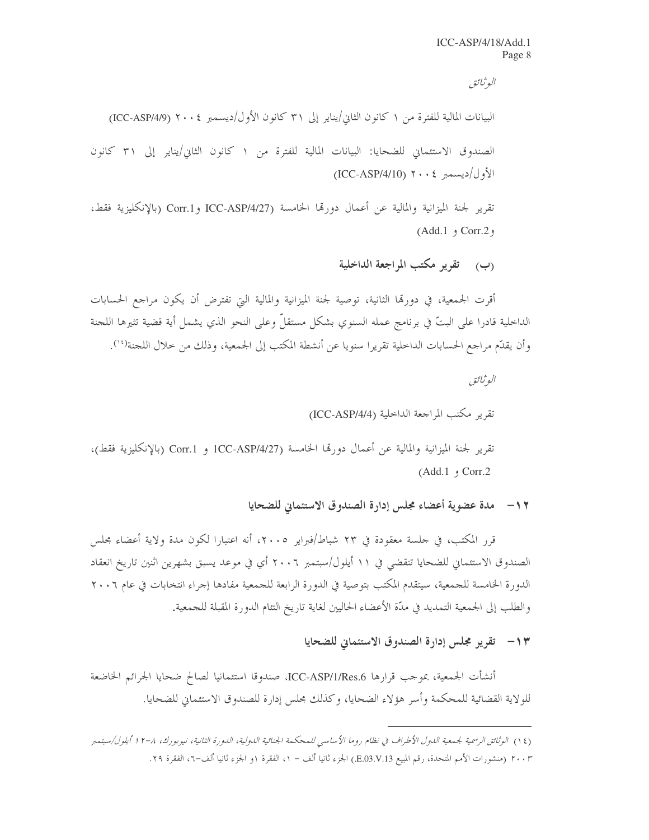البوثيائق

البيانات المالية للفترة من ١ كانون الثاني/يناير إلى ٣١ كانون الأول/ديسمبر ٢٠٠٤ (ICC-ASP/4/9) الصندوق الاستئماني للضحايا: البيانات المالية للفترة من ١ كانون الثاني/يناير إلى ٣١ كانون  $\left(\text{ICC-ASP}/4/10\right)$  ۲۰۰۶ ( $\left|\text{ICC-ASP}/4/10\right\rangle$ 

تقرير لجنة الميزانية والمالية عن أعمال دورتها الخامسة (ICC-ASP/4/27 وCorr.1 (بالإنكليزية فقط،  $(Add.1, 1)$  Corr.2,

(ب) تقرير مكتب المراجعة الداخلية

أقرت الجمعية، في دورها الثانية، توصية لجنة الميزانية والمالية التي تفترض أن يكون مراجع الحسابات الداخلية قادرا على البتّ في برنامج عمله السنوي بشكل مستقلّ وعلى النحو الذي يشمل أية قضية تثيرها اللحنة وأن يقدِّم مراجع الحسابات الداخلية تقريرًا سنويا عن أنشطة المكتب إلى الجمعية، وذلك من خلال اللجنة('').

> البوثيائق تقرير مكتب المراجعة الداخلية (ICC-ASP/4/4)

تقرير لجنة الميزانية والمالية عن أعمال دورقما الخامسة (ICC-ASP/4/27 و Corr.1 (بالإنكليزية فقط)،  $(Add.1, 1)$  Corr.2

> مدة عضوية أعضاء مجلس إدارة الصندوق الاستئماني للضحايا  $-11$

قرر المكتب، في حلسة معقودة في ٢٣ شباط/فبراير ٢٠٠٥، أنه اعتبارا لكون مدة ولاية أعضاء مجلس الصندوق الاستئماني للضحايا تنقضي في ١١ أيلول/سبتمبر ٢٠٠٦ أي في موعد يسبق بشهرين اثنين تاريخ انعقاد الدورة الخامسة للجمعية، سيتقدم المكتب بتوصية في الدورة الرابعة للجمعية مفادها إجراء انتخابات في عام ٢٠٠٦ والطلب إلى الجمعية التمديد في مدَّة الأعضاء الحاليين لغاية تاريخ التئام الدورة المقبلة للجمعية.

### ١٣ - تقرير مجلس إدارة الصندوق الاستئماني للضحايا

أنشأت الجمعية، بموجب قرارها ICC-ASP/1/Res.6، صندوقا استئمانيا لصالح ضحايا الجرائم الخاضعة للولاية القضائية للمحكمة وأسر هؤلاء الضحايا، وكذلك مجلس إدارة للصندوق الاستئماني للضحايا.

<sup>(</sup>١٤) الوثائق الرسمية لجمعية الدول الأطراف في نظام روما الأساسي للمحكمة الجنائية الدولية، الدورة الثانية، نيويورك، ٨-١٢ أيلول/سبتمبر ٢٠٠٣ (منشورات الأمم المتحدة، رقم المبيع E.03.V.13) الجزء ثانيا ألف – ١، الفقرة ١و الجزء ثانيا ألف–٦، الفقرة ٢٩.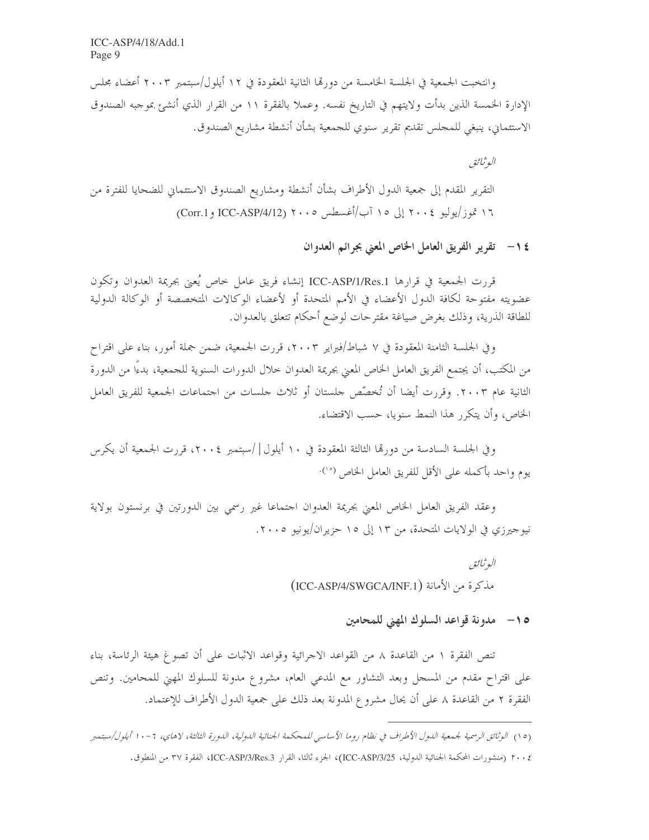ICC-ASP/4/18/Add.1 Page 9

وانتخبت الجمعية في الجلسة الخامسة من دورتما الثانية المعقودة في ١٢ أيلول/سبتمبر ٢٠٠٣ أعضاء مجلس الإدارة الخمسة الذين بدأت ولايتهم في التاريخ نفسه. وعملا بالفقرة ١١ من القرار الذي أنشئ بموجبه الصندوق الاستئماني، ينبغي للمحلس تقديم تقرير سنوي للجمعية بشأن أنشطة مشاريع الصندوق.

البوثيائق

التقرير المقدم إلى جمعية الدول الأطراف بشأن أنشطة ومشاريع الصندوق الاستئماني للضحايا للفترة من ۱۶ تموز/يوليو ٢٠٠٤ إلى ١٥ آب/أغسطس ٢٠٠٥ (Corr.1 و ICC-ASP/4/12)

١٤ - تقرير الفريق العامل الخاص المعنى بجرائم العدوان

قررت الجمعية في قرارها ICC-ASP/1/Res.1 إنشاء فريق عامل خاص يُعني بجريمة العدوان وتكون عضويته مفتوحة لكافة الدول الأعضاء في الأمم المتحدة أو لأعضاء الوكالات المتخصصة أو الوكالة الدولية للطاقة الذرية، وذلك بغرض صياغة مقترحات لوضع أحكام تتعلق بالعدوان.

وفي الجلسة الثامنة المعقودة في ٧ شباط/فبراير ٢٠٠٣، قررت الجمعية، ضمن جملة أمور، بناء على اقتراح من المكتب، أن يجتمع الفريق العامل الخاص المعنى بجريمة العدوان خلال الدورات السنوية للجمعية، بدءًا من الدورة الثانية عام ٢٠٠٣. وقررت أيضا أن تُخصِّص حلستان أو ثلاث حلسات من احتماعات الجمعية للفريق العامل الخاص، وأن يتكرر هذا النمط سنويا، حسب الاقتضاء.

وفي الجلسة السادسة من دورةما الثالثة المعقودة في ١٠ أيلول |/سبتمبر ٢٠٠٤، قررت الجمعية أن يكرس يوم واحد بأكمله على الأقل للفريق العامل الخاص <sup>(° \</sup>)·

وعقد الفريق العامل الخاص المعنى بجريمة العدوان احتماعا غير رسمي بين الدورتين في برنستون بولاية نيوجيرزي في الولايات المتحدة، من ١٣ إلى ١٥ حزيران/يونيو ٢٠٠٥.

> البوثيائق مذكرة من الأمانة (ICC-ASP/4/SWGCA/INF.1)

> > 0 1 – مدونة قواعد السلوك المهنى للمحامين

تنص الفقرة ١ من القاعدة ٨ من القواعد الاجرائية وقواعد الاثبات على أن تصوغ هيئة الرئاسة، بناء على اقتراح مقدم من المسجل وبعد التشاور مع المدعى العام، مشروع مدونة للسلوك المهنى للمحامين. وتنص الفقرة ٢ من القاعدة ٨ على أن يحال مشروع المدونة بعد ذلك على جمعية الدول الأطراف للإعتماد.

<sup>(</sup>١٥) الوثائق الرسمية لجمعية الدول الأطراف في نظام روما الأساسي للمحكمة الجنائية الدولية، الدورة الثالثة، لاهاي، ٦ -١٠ أيلول/سبتمبر

٢٠٠٤ (منشورات المحكمة الجنائية الدولية، ICC-ASP/3/25)، الجزء ثالثا، القرار ICC-ASP/3/Res.3، الفقرة ٣٧ من المنطوق.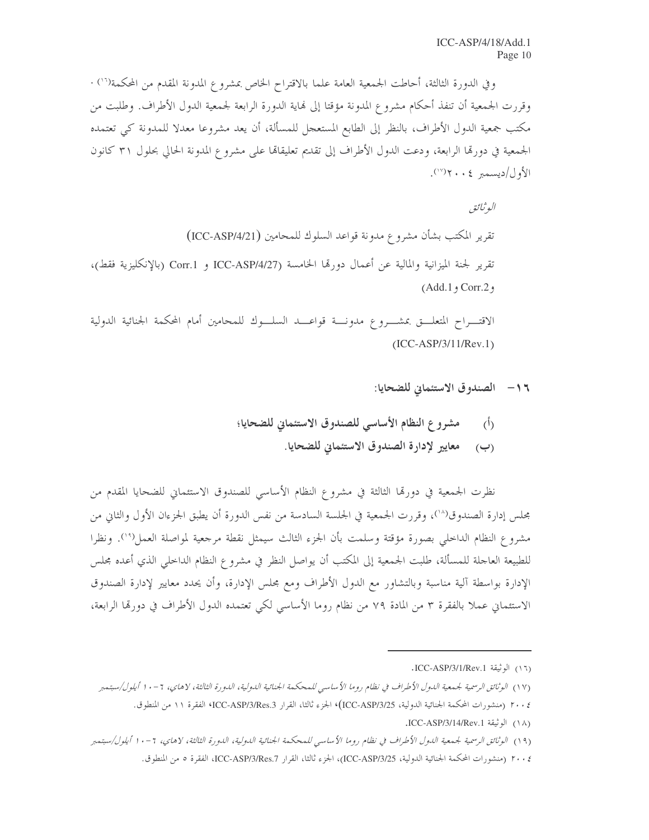وفي الدورة الثالثة، أحاطت الجمعية العامة علما بالاقتراح الخاص بمشروع المدونة المقدم من المحكمة<sup>(١٠)</sup> · وقررت الجمعية أن تنفذ أحكام مشروع المدونة مؤقتا إلى نهاية الدورة الرابعة لجمعية الدول الأطراف. وطلبت من مكتب جمعية الدول الأطراف، بالنظر إلى الطابع المستعجل للمسألة، أن يعد مشروعا معدلا للمدونة كي تعتمده الجمعية في دورقما الرابعة، ودعت الدول الأطراف إلى تقديم تعليقاتما على مشروع المدونة الحالي بحلول ٣١ كانون الأول/ديسمبر ٤٠٠٢ (٧٧).

البوثيائق تقرير المكتب بشأن مشروع مدونة قواعد السلوك للمحامين (ICC-ASP/4/21) تقرير لجنة الميزانية والمالية عن أعمال دورتما الخامسة ICC-ASP/4/27 و Corr.1 (بالإنكليزية فقط)، (Add.1, Corr.2,

الاقتـــراح المتعلـــق بمشـــروع مدونـــة قواعـــد السلـــوك للمحامين أمام المحكمة الجنائية الدولية  $(ICC-ASP/3/11/Rev.1)$ 

- ١٦- الصندوق الاستئماني للضحايا:
- مشروع النظام الأساسي للصندوق الاستئماني للضحايا؛  $\langle \dot{0} \rangle$ 
	- (ب) معايير لإدارة الصندوق الاستئماني للضحايا.

نظرت الجمعية في دورتما الثالثة في مشروع النظام الأساسي للصندوق الاستئماني للضحايا المقدم من مجلس إدارة الصندوق(^')، وقررت الجمعية في الجلسة السادسة من نفس الدورة أن يطبق الجزءان الأول والثاني من مشروع النظام الداحلي بصورة مؤقتة وسلمت بأن الجزء الثالث سيمثل نقطة مرجعية لمواصلة العمل(°\). ونظرا للطبيعة العاجلة للمسألة، طلبت الجمعية إلى المكتب أن يواصل النظر في مشروع النظام الداحلي الذي أعده مجلس الإدارة بواسطة آلية مناسبة وبالتشاور مع الدول الأطراف ومع مجلس الإدارة، وأن يحدد معايير لإدارة الصندوق الاستئماني عملاً بالفقرة ٣ من المادة ٧٩ من نظام روما الأساسي لكي تعتمده الدول الأطراف في دورها الرابعة،

<sup>(</sup>١٦) الوثيقة ICC-ASP/3/1/Rev.1.

<sup>(</sup>١٧) الوثائق الرسمية لجمعية الدول الأطراف في نظام روما الأساسي للمحكمة الجنائية الدولية، الدورة الثالثة، لاهاي، ٦-١٠ أيلول/سبتمبر

٢٠٠٤ (منشورات المحكمة الجنائية الدولية، ICC-ASP/3/25)، الجزء ثالثا، القرار ICC-ASP/3/Res.3، الفقرة ١١ من المنطوق.

<sup>(</sup>١٨) الوثيقة ICC-ASP/3/14/Rev.1.

<sup>(</sup>١٩) الوثائق الرسمية لجمعية الدول الأطراف في نظام روما الأساسي للمحكمة الجنائية الدولية، الدورة الثالثة، لاهاي، ٦ -١٠ أيلول/سبتمبر

٢٠٠٤ (منشورات المحكمة الجنائية الدولية، ICC-ASP/3/25)، الجزء ثالثا، القرار ICC-ASP/3/Res.7، الفقرة ٥ من المنطوق.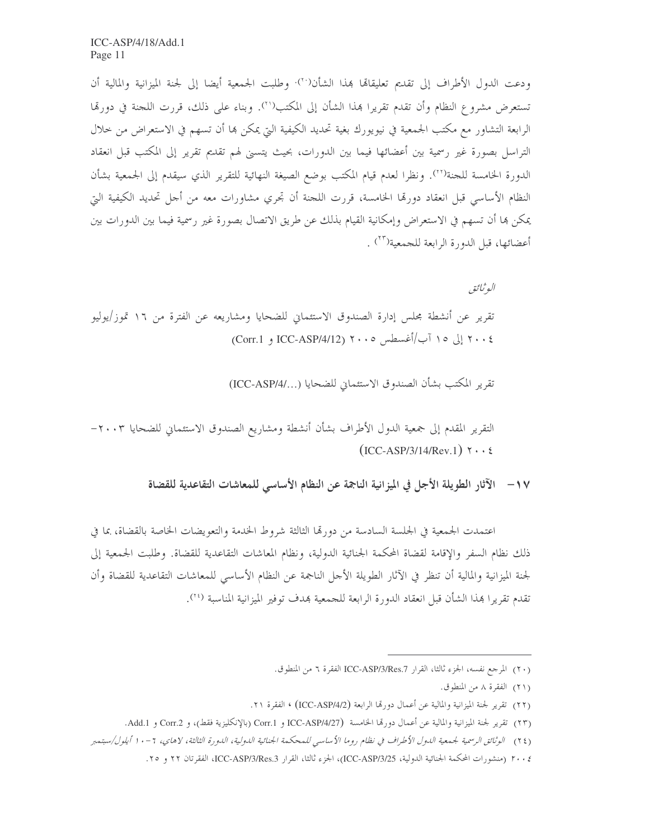ودعت الدول الأطراف إلى تقديم تعليقاها بمذا الشأن(``)· وطلبت الجمعية أيضا إلى لجنة الميزانية والمالية أن تستعرض مشروع النظام وأن تقدم تقريرًا بمذا الشأن إلى المكتب (''). وبناء على ذلك، قررت اللجنة في دورتها الرابعة التشاور مع مكتب الجمعية في نيويورك بغية تحديد الكيفية التي يمكن بما أن تسهم في الاستعراض من حلال التراسل بصورة غير رسمية بين أعضائها فيما بين الدورات، بحيث يتسنى لهم تقديم تقرير إلى المكتب قبل انعقاد الدورة الخامسة للجنة(\*``). ونظرا لعدم قيام المكتب بوضع الصيغة النهائية للتقرير الذي سيقدم إلى الجمعية بشأن النظام الأساسي قبل انعقاد دورقما الخامسة، قررت اللجنة أن تجري مشاورات معه من أجل تحديد الكيفية التي يمكن ها أن تسهم في الاستعراض وإمكانية القيام بذلك عن طريق الاتصال بصورة غير رسمية فيما بين الدورات بين أعضائها، قبل الدورة الرابعة للجمعية<sup>(٢٣</sup>) .

البوثيائق

تقرير عن أنشطة مجلس إدارة الصندوق الاستئماني للضحايا ومشاريعه عن الفترة من ١٦ تموز/يوليو ٢٠٠٤ إلى ١٥ آب/أغسطس ٢٠٠٥ (Corr.1 و ICC-ASP/4/12)

تقرير المكتب بشأن الصندوق الاستئماني للضحايا (.../ICC-ASP)

التقرير المقدم إلى جمعية الدول الأطراف بشأن أنشطة ومشاريع الصندوق الاستئماني للضحايا ٢٠٠٣–  $(ICC-ASP/3/14/Rev.1)$   $\gamma \cdot \epsilon$ 

١٧ – الآثار الطويلة الأجل في الميز انية الناجمة عن النظام الأساسي للمعاشات التقاعدية للقضاة

اعتمدت الجمعية في الجلسة السادسة من دورتما الثالثة شروط الخدمة والتعويضات الخاصة بالقضاة، بما في ذلك نظام السفر والإقامة لقضاة المحكمة الجنائية الدولية، ونظام المعاشات التقاعدية للقضاة. وطلبت الجمعية إلى لجنة الميزانية والمالية أن تنظر في الآثار الطويلة الأحل الناجمة عن النظام الأساسي للمعاشات التقاعدية للقضاة وأن تقدم تقريرًا بمذا الشأن قبل انعقاد الدورة الرابعة للجمعية بمدف توفير الميزانية المناسبة <sup>(٢٤</sup>).

<sup>(</sup>٢٠) المرجع نفسه، الجزء ثالثا، القرار ICC-ASP/3/Res.7 الفقرة ٦ من المنطوق.

<sup>(</sup>٢١) الفقرة ٨ من المنطوق.

<sup>(</sup>٢٢) تقرير لجنة الميزانية والمالية عن أعمال دورها الرابعة (ICC-ASP/4/2) ، الفقرة ٢١.

<sup>(</sup>٢٣) تقرير لجنة الميزانية والمالية عن أعمال دورقما الخامسة (ICC-ASP/4/27 و Corr.1 (بالإنكليزية فقط)، و Corr.2 و Add.1.

<sup>(</sup>٢٤) الوثائق الرسمية لجمعية الدول الأطراف في نظام روما الأساسي للمحكمة الجنائية الدولية، الدورة الثالثة، لاهاي، ٦-١٠ أيلول/سبتمبر

٢٠٠٤ (منشورات المحكمة الجنائية الدولية، ICC-ASP/3/25)، الجزء ثالثا، القرار ICC-ASP/3/Res.3، الفقرتان ٢٢ و ٢٥.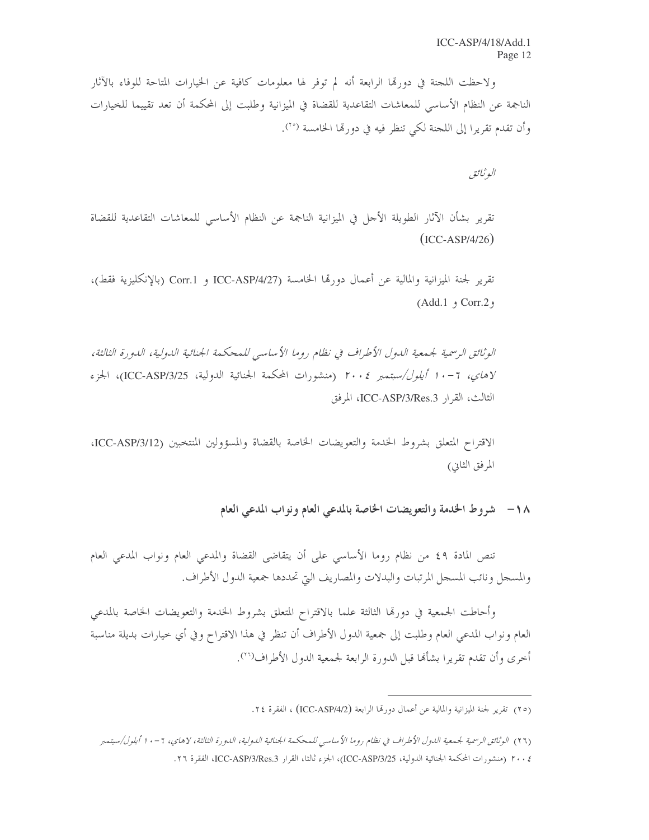ولاحظت اللجنة في دورتما الرابعة أنه لم توفر لها معلومات كافية عن الخيارات المتاحة للوفاء بالآثار الناجمة عن النظام الأساسي للمعاشات التقاعدية للقضاة في الميزانية وطلبت إلى المحكمة أن تعد تقييما للخيارات وأن تقدم تقريرًا إلى اللجنة لكي تنظر فيه في دورتما الخامسة <sup>(٢٥</sup>).

البو ثبائق

تقرير بشأن الآثار الطويلة الأجل في الميزانية الناجمة عن النظام الأساسي للمعاشات التقاعدية للقضاة  $(ICC-ASP/4/26)$ 

تقرير لجنة الميزانية والمالية عن أعمال دورتما الحامسة ICC-ASP/4/27 و Corr.1 (بالإنكليزية فقط)، وCorr.2 و Add.1)

الوثائق الرسمية لجمعية اللدول الأطراف في نظام روما الأساسي للمحكمة الجنائية اللدولية، اللدورة الثالثة، لاهاي، 7-1 *أيلول/سبتمبر ٢٠٠٤* (منشورات المحكمة الجنائية الدولية، ICC-ASP/3/25)، الجزء الثالث، القرار ICC-ASP/3/Res.3، المرفق

الاقتراح المتعلق بشروط الخدمة والتعويضات الخاصة بالقضاة والمسؤولين المنتخبين (ICC-ASP/3/12، المرفق الثاني)

تنص المادة ٤٩ من نظام روما الأساسي على أن يتقاضى القضاة والمدعى العام ونواب المدعى العام والمسجل ونائب المسجل المرتبات والبدلات والمصاريف التي تحددها جمعية الدول الأطراف.

وأحاطت الجمعية في دورقما الثالثة علما بالاقتراح المتعلق بشروط الخدمة والتعويضات الخاصة بالمدعى العام ونواب المدعى العام وطلبت إلى جمعية الدول الأطراف أن تنظر في هذا الاقتراح وفي أي خيارات بديلة مناسبة أخرى وأن تقدم تقريرا بشألها قبل الدورة الرابعة لجمعية الدول الأطراف(\*`).

<sup>(</sup>٢٥) تقرير لجنة الميزانية والمالية عن أعمال دورقما الرابعة (ICC-ASP/4/2) ، الفقرة ٢٤.

<sup>(</sup>٢٦) الوثائق الرسمية لجمعية الدول الأطراف في نظام روما الأساسي للمحكمة الجنائية الدولية، الدورة الثالثة، لاهاي، ٦ - ١٠ أيلول/سبتمبر م: ٢٠ (منشورات المحكمة الجنائية الدولية، ICC-ASP/3/25)، الجزء ثالثا، القرار ICC-ASP/3/Res.3، الفقرة ٢٦.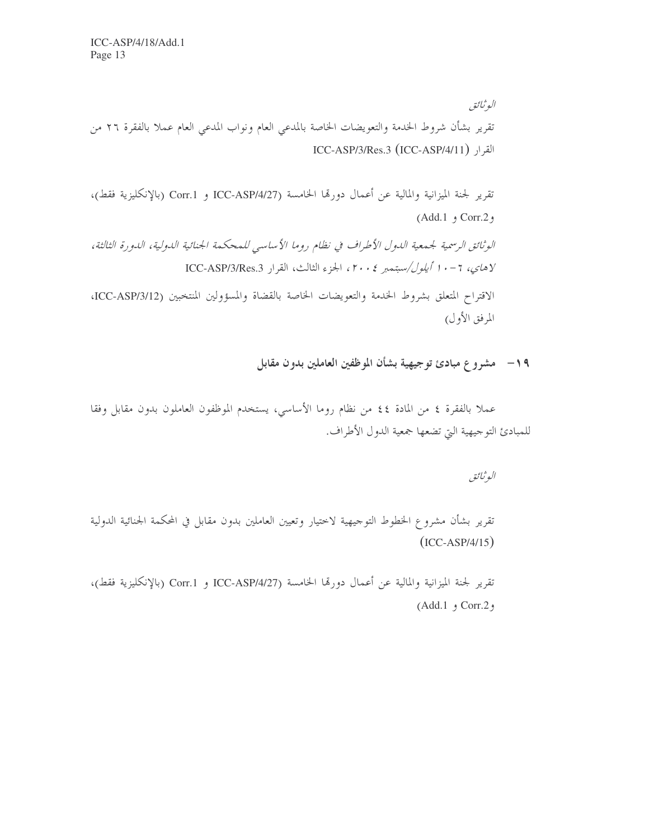البوثيائق تقرير بشأن شروط الخدمة والتعويضات الخاصة بالمدعى العام ونواب المدعى العام عملا بالفقرة ٢٦ من ICC-ASP/3/Res.3 (ICC-ASP/4/11) القرار

تقرير لجنة الميزانية والمالية عن أعمال دورتما الخامسة ICC-ASP/4/27 و Corr.1 (بالإنكليزية فقط)،  $(Add.1, 5)$  Corr.2, الوثائق الرسمية لجيمعية اللهول الأطراف في نظام روما الأساسي للمحكمة الجنائية اللهولية، اللهورة الثالثة، لاهاي، ٢-١٠ أيلول/سبتمبر ٢٠٠٤، الجزء الثالث، القرار ICC-ASP/3/Res.3 الاقتراح المتعلق بشروط الخدمة والتعويضات الخاصة بالقضاة والمسؤولين المنتخبين (ICC-ASP/3/12،

## ١٩- مشروع مبادئ توجيهية بشأن الموظفين العاملين بدون مقابل

عملا بالفقرة ٤ من المادة ٤٤ من نظام روما الأساسي، يستخدم الموظفون العاملون بدون مقابل وفقا للمبادئ التوجيهية التي تضعها جمعية الدول الأطراف.

البوثائق

المرفق الأول)

تقرير بشأن مشروع الخطوط التوجيهية لاختيار وتعيين العاملين بدون مقابل في المحكمة الجنائية الدولية  $(ICC-ASP/4/15)$ 

تقرير لجنة الميزانية والمالية عن أعمال دورتما الخامسة ICC-ASP/4/27 و Corr.1 (بالإنكليزية فقط)، و Corr.2 و Add.1)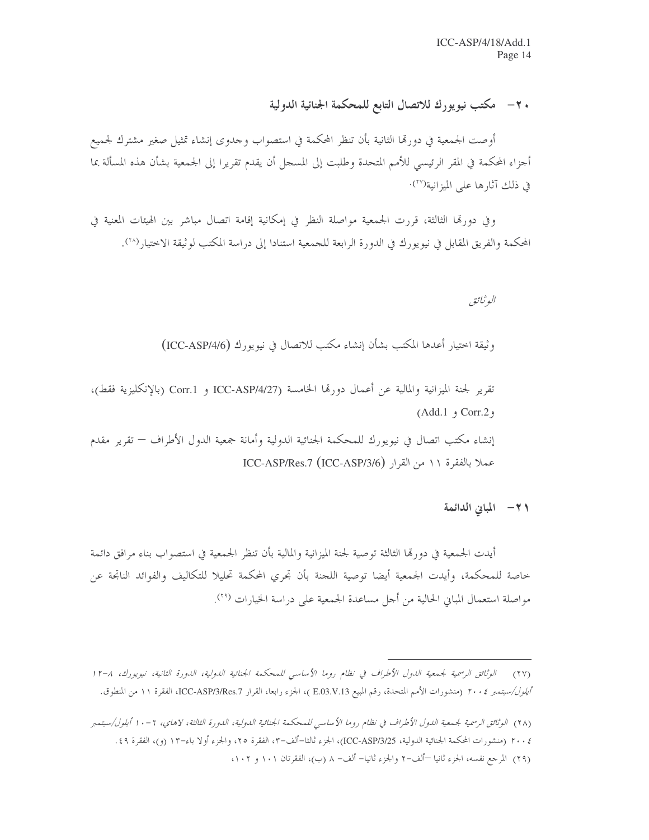## ٢٠ – مكتب نيويورك للاتصال التابع للمحكمة الجنائية الدولية

أوصت الجمعية في دورتما الثانية بأن تنظر المحكمة في استصواب وحدوى إنشاء تمثيل صغير مشترك لجميع أجزاء المحكمة في المقر الرئيسي للأمم المتحدة وطلبت إلى المسجل أن يقدم تقريرا إلى الجمعية بشأن هذه المسألة بما في ذلك آثارها على الميزانية(```)·

وفي دورتما الثالثة، قررت الجمعية مواصلة النظر في إمكانية إقامة اتصال مباشر بين الهيئات المعنية في المحكمة والفريق المقابل في نيويورك في الدورة الرابعة للجمعية استنادا إلى دراسة المكتب لوثيقة الاختيار (٢٠٨).

البوثيائق

وثيقة اختيار أعدها المكتب بشأن إنشاء مكتب للاتصال في نيويورك (ICC-ASP/4/6)

تقرير لجنة الميزانية والمالية عن أعمال دورتما الخامسة ICC-ASP/4/27 و Corr.1 (بالإنكليزية فقط)،  $(Add.1, 5)$  Corr.2, إنشاء مكتب اتصال في نيويورك للمحكمة الجنائية الدولية وأمانة جمعية الدول الأطراف — تقرير مقدم عملا بالفقرة ١١ من القرار (ICC-ASP/3/6) ICC-ASP/Res.7

٢١- المباني الدائمة

أيدت الجمعية في دورها الثالثة توصية لجنة الميزانية والمالية بأن تنظر الجمعية في استصواب بناء مرافق دائمة خاصة للمحكمة، وأيدت الجمعية أيضا توصية اللجنة بأن تجري المحكمة تحليلا للتكاليف والفوائد الناتجة عن مواصلة استعمال المباني الحالية من أجل مساعدة الجمعية على دراسة الخيارات (\*٬

<sup>(</sup>٢٧) - الوثائق الرسمية لجمعية الدول الأطراف في نظام روما الأساسي للمحكمة الجنائية الدولية، الدورة الثانية، نيويورك، ١٢-١ *أيلول/سبتمبر ٢٠٠٤* (منشورات الأمم المتحدة، رقم المبيع E.03.V.13 )، الجزء رابعا، القرار ICC-ASP/3/Res.7، الفقرة ١١ من المنطوق.

<sup>(</sup>٢٨) الوثائق الرسمية لجمعية الدول الأطراف في نظام روما الأساسي للمحكمة الجنائية الدولية، الدورة الثالثة، لاهاي، ٦ - ١ أيلول/سبتمبر

٢٠٠٤ (منشورات المحكمة الجنائية الدولية، ICC-ASP/3/25)، الجزء ثالثا–ألف–٣، الفقرة ٢٥، والجزء أولا باء–١٣ (و)، الفقرة ٤٩.

<sup>(</sup>٢٩) المرجع نفسه، الجزء ثانيا —ألف-٢ والجزء ثانيا– ألف- ٨ (ب)، الفقرتان ١٠١ و ١٠٢،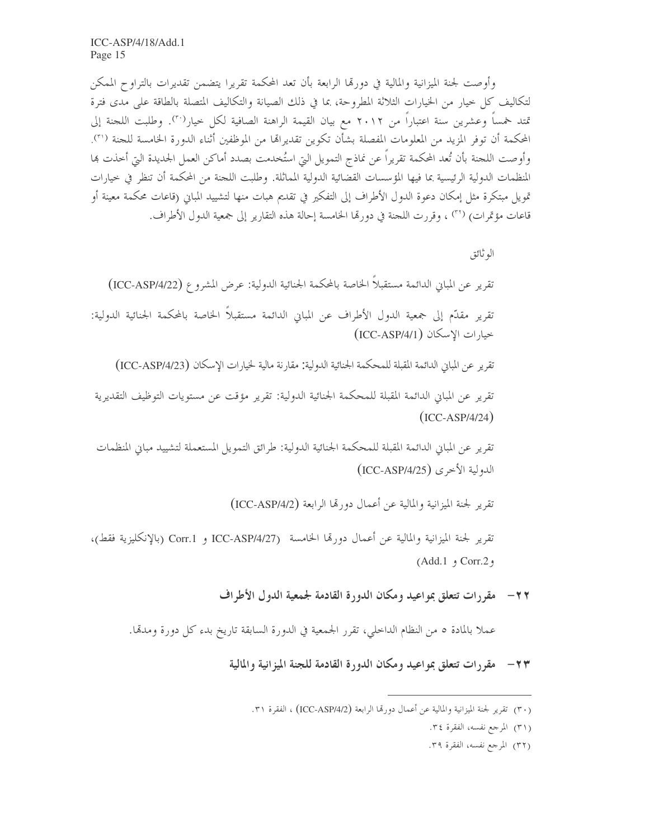وأوصت لجنة الميزانية والمالية في دورتما الرابعة بأن تعد المحكمة تقريرا يتضمن تقديرات بالتراوح الممكن لتكاليف كل حيار من الخيارات الثلاثة المطروحة، بما في ذلك الصيانة والتكاليف المتصلة بالطاقة على مدى فترة تمتد خمساً وعشرين سنة اعتباراً من ٢٠١٢ مع بيان القيمة الراهنة الصافية لكل حيار<sup>(٣٠)</sup>. وطلبت اللجنة إلى المحكمة أن توفر المزيد من المعلومات المفصلة بشأن تكوين تقديرالها من الموظفين أثناء الدورة الحامسة للجنة ('٢). وأوصت اللجنة بأن تُعد المحكمة تقريراً عن نماذج التمويل التي استُخدمت بصدد أماكن العمل الجديدة التي أخذت هما المنظمات الدولية الرئيسية بما فيها المؤسسات القضائية الدولية المماثلة. وطلبت اللجنة من المحكمة أن تنظر في حيارات تمويل مبتكرة مثل إمكان دعوة الدول الأطراف إلى التفكير في تقديم هبات منها لتشييد المباين (قاعات محكمة معينة أو قاعات مؤتمرات) (٣١) ، وقررت اللجنة في دورِها الخامسة إحالة هذه التقارير إلى جمعية الدول الأطراف.

الو ثائق

تقرير عن المباني الدائمة مستقبلاً الخاصة بالمحكمة الجنائية الدولية: عرض المشروع (ICC-ASP/4/22)

تقرير مقدَّم إلى جمعية الدول الأطراف عن المباين الدائمة مستقبلاً الخاصة بالمحكمة الجنائية الدولية: خيارات الإسكان (ICC-ASP/4/1)

تقرير عن المباني الدائمة المقبلة للمحكمة الجنائية الدولية: مقارنة مالية لخيارات الإسكان (ICC-ASP/4/23)

تقرير عن المباني الدائمة المقبلة للمحكمة الجنائية الدولية: تقرير مؤقت عن مستويات التوظيف التقديرية  $(ICC-ASP/4/24)$ 

تقرير عن المباني الدائمة المقبلة للمحكمة الجنائية الدولية: طرائق التمويل المستعملة لتشييد مباني المنظمات الدولية الأخرى (ICC-ASP/4/25)

تقرير لجنة الميزانية والمالية عن أعمال دورتما الرابعة (ICC-ASP/4/2)

تقرير لجنة الميزانية والمالية عن أعمال دورةما الخامسة ICC-ASP/4/27 و Corr.1 (بالإنكليزية فقط)،  $(Add.1, 1)$  Corr.2,

٢٢ – مقررات تتعلق بمواعيد ومكان الدورة القادمة لجمعية الدول الأطراف

عملاً بالمادة ٥ من النظام الداخلي، تقرر الجمعية في الدورة السابقة تاريخ بدء كل دورة ومدمًّا.

٢٣ – مقررات تتعلق بمواعيد ومكان الدورة القادمة للجنة الميزانية والمالية

(٣٢) المرجع نفسه، الفقرة ٣٩.

<sup>(</sup>٣٠) تقرير لجنة الميزانية والمالية عن أعمال دورقما الرابعة (ICC-ASP/4/2) ، الفقرة ٣١.

<sup>(</sup>٣١) المرجع نفسه، الفقرة ٣٤.